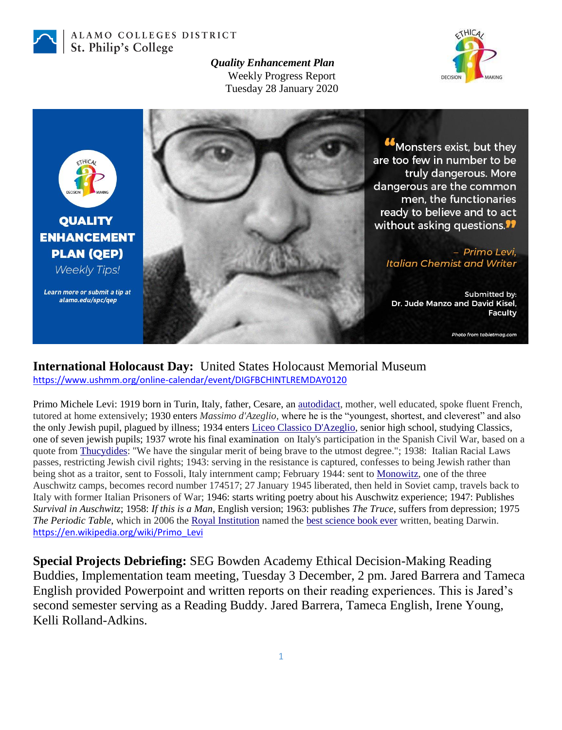

ALAMO COLLEGES DISTRICT St. Philip's College

> *Quality Enhancement Plan* Weekly Progress Report Tuesday 28 January 2020





## **International Holocaust Day:** United States Holocaust Memorial Museum <https://www.ushmm.org/online-calendar/event/DIGFBCHINTLREMDAY0120>

Primo Michele Levi: 1919 born in Turin, Italy, father, Cesare, an [autodidact,](https://en.wikipedia.org/wiki/Autodidact) mother, well educated, spoke fluent French, tutored at home extensively; 1930 enters *Massimo d'Azeglio,* where he is the "youngest, shortest, and cleverest" and also the only Jewish pupil, plagued by illness; 1934 enters [Liceo Classico D'Azeglio,](https://en.wikipedia.org/wiki/Liceo_Classico_D%27Azeglio) senior high school, studying Classics, one of seven jewish pupils; 1937 wrote his final examination on Italy's participation in the Spanish Civil War, based on a quote from [Thucydides:](https://en.wikipedia.org/wiki/Thucydides) "We have the singular merit of being brave to the utmost degree."; 1938: Italian Racial Laws passes, restricting Jewish civil rights; 1943: serving in the resistance is captured, confesses to being Jewish rather than being shot as a traitor, sent to Fossoli, Italy internment camp; February 1944: sent to [Monowitz,](https://en.wikipedia.org/wiki/Monowitz_concentration_camp) one of the three Auschwitz camps, becomes record number 174517; 27 January 1945 liberated, then held in Soviet camp, travels back to Italy with former Italian Prisoners of War; 1946: starts writing poetry about his Auschwitz experience; 1947: Publishes *Survival in Auschwitz*; 1958: *If this is a Man*, English version; 1963: publishes *The Truce*, suffers from depression; 1975 *The Periodic Table*, which in 2006 the [Royal Institution](https://en.wikipedia.org/wiki/Royal_Institution) named the [best science book ever](https://en.wikipedia.org/wiki/Best_science_book_ever) written, beating Darwin. [https://en.wikipedia.org/wiki/Primo\\_Levi](https://en.wikipedia.org/wiki/Primo_Levi)

**Special Projects Debriefing:** SEG Bowden Academy Ethical Decision-Making Reading Buddies, Implementation team meeting, Tuesday 3 December, 2 pm. Jared Barrera and Tameca English provided Powerpoint and written reports on their reading experiences. This is Jared's second semester serving as a Reading Buddy. Jared Barrera, Tameca English, Irene Young, Kelli Rolland-Adkins.